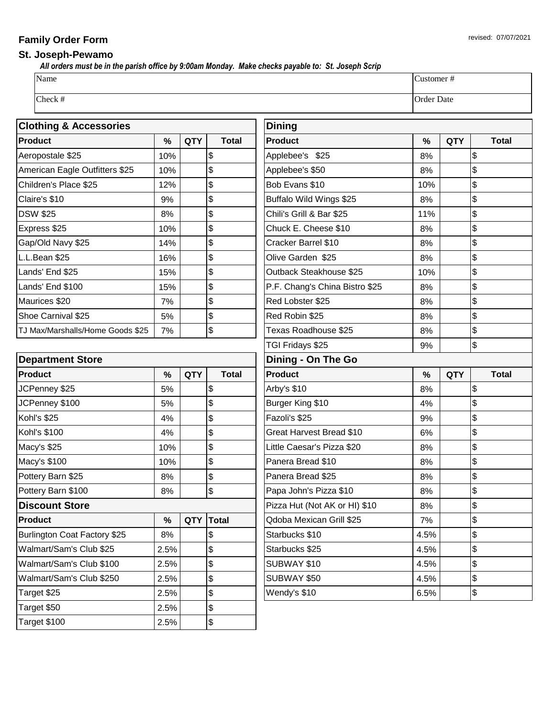## **Family Order Form** revised: 07/07/2021

## **St. Joseph-Pewamo**

 *All orders must be in the parish office by 9:00am Monday. Make checks payable to: St. Joseph Scrip*

| Name    | <b>Justomer</b><br>$^{\rm \pi}$ |
|---------|---------------------------------|
| Check # | Order Date                      |

| <b>Clothing &amp; Accessories</b> |     |            |              | <b>Dining</b>           |
|-----------------------------------|-----|------------|--------------|-------------------------|
| <b>Product</b>                    | ℅   | <b>QTY</b> | <b>Total</b> | <b>Product</b>          |
| Aeropostale \$25                  | 10% |            | \$           | Applebee's \$25         |
| American Eagle Outfitters \$25    | 10% |            | \$           | Applebee's \$50         |
| Children's Place \$25             | 12% |            | \$           | Bob Evans \$10          |
| Claire's \$10                     | 9%  |            | \$           | <b>Buffalo Wild Win</b> |
| <b>DSW \$25</b>                   | 8%  |            | \$           | Chili's Grill & Bar     |
| Express \$25                      | 10% |            | \$           | Chuck E. Chees          |
| Gap/Old Navy \$25                 | 14% |            | \$           | Cracker Barrel \$       |
| L.L.Bean \$25                     | 16% |            | \$           | Olive Garden \$2        |
| Lands' End \$25                   | 15% |            | \$           | Outback Steakho         |
| Lands' End \$100                  | 15% |            | \$           | P.F. Chang's Ch         |
| Maurices \$20                     | 7%  |            | \$           | Red Lobster \$25        |
| Shoe Carnival \$25                | 5%  |            | \$           | Red Robin \$25          |
| TJ Max/Marshalls/Home Goods \$25  | 7%  |            | \$           | Texas Roadhous          |
|                                   |     |            |              |                         |

| <b>Department Store</b>      |      |            |              |  |  |
|------------------------------|------|------------|--------------|--|--|
| <b>Product</b>               | %    | QTY        | <b>Total</b> |  |  |
| JCPenney \$25                | 5%   |            | \$           |  |  |
| JCPenney \$100               | 5%   |            | \$           |  |  |
| Kohl's \$25                  | 4%   |            | \$           |  |  |
| Kohl's \$100                 | 4%   |            | \$           |  |  |
| Macy's \$25                  | 10%  |            | \$           |  |  |
| Macy's \$100                 | 10%  |            | \$           |  |  |
| Pottery Barn \$25            | 8%   |            | \$           |  |  |
| Pottery Barn \$100           | 8%   |            | \$           |  |  |
| <b>Discount Store</b>        |      |            |              |  |  |
| <b>Product</b>               | %    | <b>QTY</b> | <b>Total</b> |  |  |
| Burlington Coat Factory \$25 | 8%   |            | \$           |  |  |
| Walmart/Sam's Club \$25      | 2.5% |            | \$           |  |  |
| Walmart/Sam's Club \$100     | 2.5% |            | \$           |  |  |
| Walmart/Sam's Club \$250     | 2.5% |            | \$           |  |  |
| Target \$25                  | 2.5% |            | \$           |  |  |
| Target \$50                  | 2.5% |            | \$           |  |  |
| Target \$100                 | 2.5% |            | \$           |  |  |

|      |            |                                               | <b>Dining</b>                  |      |            |                |
|------|------------|-----------------------------------------------|--------------------------------|------|------------|----------------|
| $\%$ | <b>QTY</b> | <b>Total</b>                                  | <b>Product</b>                 | $\%$ | <b>QTY</b> | <b>Total</b>   |
| 10%  |            | \$                                            | Applebee's \$25                | 8%   |            | \$             |
| 10%  |            | \$                                            | Applebee's \$50                | 8%   |            | \$             |
| 12%  |            | \$                                            | Bob Evans \$10                 | 10%  |            | \$             |
| 9%   |            | \$                                            | Buffalo Wild Wings \$25        | 8%   |            | \$             |
| 8%   |            | \$                                            | Chili's Grill & Bar \$25       | 11%  |            | \$             |
| 10%  |            | \$                                            | Chuck E. Cheese \$10           | 8%   |            | \$             |
| 14%  |            | \$                                            | Cracker Barrel \$10            | 8%   |            | \$             |
| 16%  |            | \$                                            | Olive Garden \$25              | 8%   |            | \$             |
| 15%  |            | \$                                            | Outback Steakhouse \$25        | 10%  |            | \$             |
| 15%  |            | \$                                            | P.F. Chang's China Bistro \$25 | 8%   |            | \$             |
| 7%   |            | \$                                            | Red Lobster \$25               | 8%   |            | \$             |
| 5%   |            | \$                                            | Red Robin \$25                 | 8%   |            | \$             |
| 7%   |            | \$                                            | Texas Roadhouse \$25           | 8%   |            | \$             |
|      |            |                                               | TGI Fridays \$25               | 9%   |            | \$             |
|      |            |                                               | Dining - On The Go             |      |            |                |
| $\%$ | <b>QTY</b> | <b>Total</b>                                  | <b>Product</b>                 | $\%$ | <b>QTY</b> | <b>Total</b>   |
| 5%   |            | \$                                            | Arby's \$10                    | 8%   |            | \$             |
| 5%   |            | \$                                            | Burger King \$10               | 4%   |            | \$             |
| 4%   |            | \$                                            | Fazoli's \$25                  | 9%   |            | \$             |
| 4%   |            | \$                                            | Great Harvest Bread \$10       | 6%   |            | \$             |
| 10%  |            | \$                                            | Little Caesar's Pizza \$20     | 8%   |            | \$             |
| 10%  |            | \$                                            | Panera Bread \$10              | 8%   |            | \$             |
| 8%   |            | \$                                            | Panera Bread \$25              | 8%   |            | \$             |
| 8%   |            | \$                                            | Papa John's Pizza \$10         | 8%   |            | \$             |
|      |            |                                               | Pizza Hut (Not AK or HI) \$10  | 8%   |            | \$             |
| $\%$ |            | QTY Total                                     | Qdoba Mexican Grill \$25       | 7%   |            | $\mathfrak{g}$ |
| 8%   |            | \$                                            | Starbucks \$10                 | 4.5% |            | \$             |
| 2.5% |            | \$                                            | Starbucks \$25                 | 4.5% |            | \$             |
| 2.5% |            | \$                                            | <b>SUBWAY \$10</b>             | 4.5% |            | \$             |
| 2.5% |            | \$                                            | <b>SUBWAY \$50</b>             | 4.5% |            | \$             |
| 2.5% |            | $\, \, \raisebox{12pt}{$\scriptstyle \circ$}$ | Wendy's \$10                   | 6.5% |            | \$             |